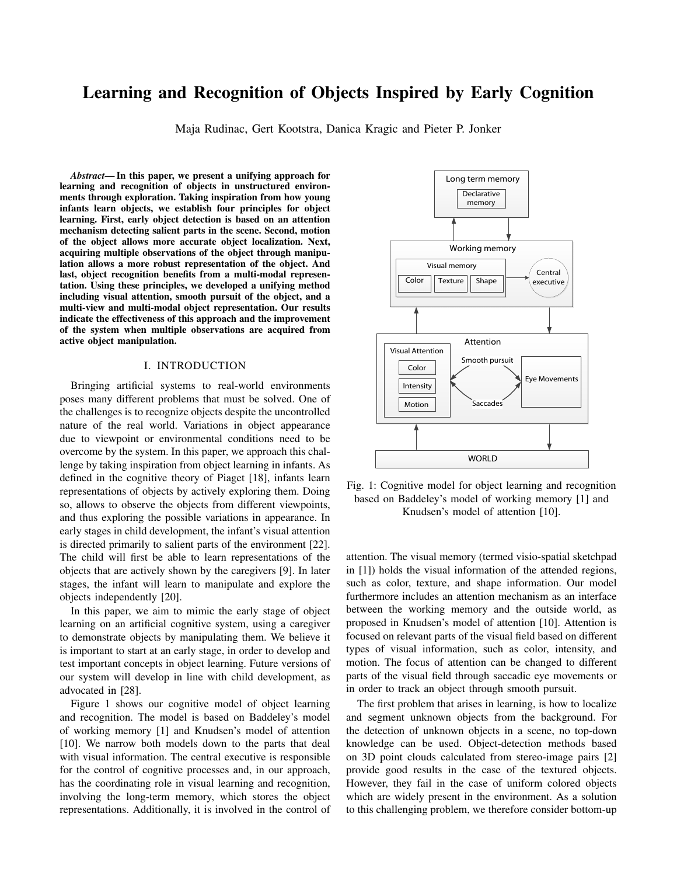# Learning and Recognition of Objects Inspired by Early Cognition

Maja Rudinac, Gert Kootstra, Danica Kragic and Pieter P. Jonker

*Abstract*— In this paper, we present a unifying approach for learning and recognition of objects in unstructured environments through exploration. Taking inspiration from how young infants learn objects, we establish four principles for object learning. First, early object detection is based on an attention mechanism detecting salient parts in the scene. Second, motion of the object allows more accurate object localization. Next, acquiring multiple observations of the object through manipulation allows a more robust representation of the object. And last, object recognition benefits from a multi-modal representation. Using these principles, we developed a unifying method including visual attention, smooth pursuit of the object, and a multi-view and multi-modal object representation. Our results indicate the effectiveness of this approach and the improvement of the system when multiple observations are acquired from active object manipulation.

## I. INTRODUCTION

Bringing artificial systems to real-world environments poses many different problems that must be solved. One of the challenges is to recognize objects despite the uncontrolled nature of the real world. Variations in object appearance due to viewpoint or environmental conditions need to be overcome by the system. In this paper, we approach this challenge by taking inspiration from object learning in infants. As defined in the cognitive theory of Piaget [18], infants learn representations of objects by actively exploring them. Doing so, allows to observe the objects from different viewpoints, and thus exploring the possible variations in appearance. In early stages in child development, the infant's visual attention is directed primarily to salient parts of the environment [22]. The child will first be able to learn representations of the objects that are actively shown by the caregivers [9]. In later stages, the infant will learn to manipulate and explore the objects independently [20].

In this paper, we aim to mimic the early stage of object learning on an artificial cognitive system, using a caregiver to demonstrate objects by manipulating them. We believe it is important to start at an early stage, in order to develop and test important concepts in object learning. Future versions of our system will develop in line with child development, as advocated in [28].

Figure 1 shows our cognitive model of object learning and recognition. The model is based on Baddeley's model of working memory [1] and Knudsen's model of attention [10]. We narrow both models down to the parts that deal with visual information. The central executive is responsible for the control of cognitive processes and, in our approach, has the coordinating role in visual learning and recognition, involving the long-term memory, which stores the object representations. Additionally, it is involved in the control of



Fig. 1: Cognitive model for object learning and recognition based on Baddeley's model of working memory [1] and Knudsen's model of attention [10].

attention. The visual memory (termed visio-spatial sketchpad in [1]) holds the visual information of the attended regions, such as color, texture, and shape information. Our model furthermore includes an attention mechanism as an interface between the working memory and the outside world, as proposed in Knudsen's model of attention [10]. Attention is focused on relevant parts of the visual field based on different types of visual information, such as color, intensity, and motion. The focus of attention can be changed to different parts of the visual field through saccadic eye movements or in order to track an object through smooth pursuit.

The first problem that arises in learning, is how to localize and segment unknown objects from the background. For the detection of unknown objects in a scene, no top-down knowledge can be used. Object-detection methods based on 3D point clouds calculated from stereo-image pairs [2] provide good results in the case of the textured objects. However, they fail in the case of uniform colored objects which are widely present in the environment. As a solution to this challenging problem, we therefore consider bottom-up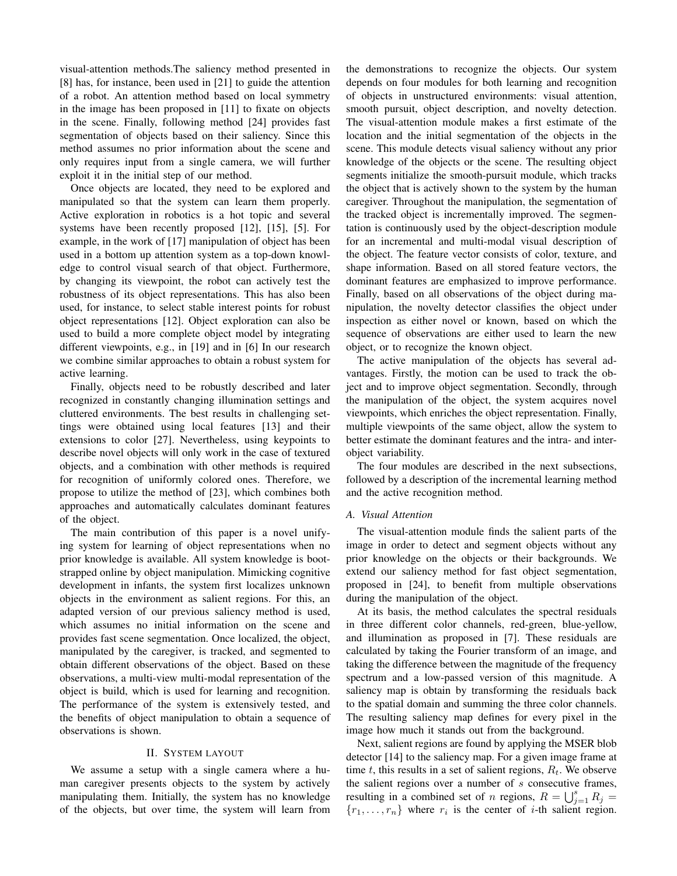visual-attention methods.The saliency method presented in [8] has, for instance, been used in [21] to guide the attention of a robot. An attention method based on local symmetry in the image has been proposed in [11] to fixate on objects in the scene. Finally, following method [24] provides fast segmentation of objects based on their saliency. Since this method assumes no prior information about the scene and only requires input from a single camera, we will further exploit it in the initial step of our method.

Once objects are located, they need to be explored and manipulated so that the system can learn them properly. Active exploration in robotics is a hot topic and several systems have been recently proposed [12], [15], [5]. For example, in the work of [17] manipulation of object has been used in a bottom up attention system as a top-down knowledge to control visual search of that object. Furthermore, by changing its viewpoint, the robot can actively test the robustness of its object representations. This has also been used, for instance, to select stable interest points for robust object representations [12]. Object exploration can also be used to build a more complete object model by integrating different viewpoints, e.g., in [19] and in [6] In our research we combine similar approaches to obtain a robust system for active learning.

Finally, objects need to be robustly described and later recognized in constantly changing illumination settings and cluttered environments. The best results in challenging settings were obtained using local features [13] and their extensions to color [27]. Nevertheless, using keypoints to describe novel objects will only work in the case of textured objects, and a combination with other methods is required for recognition of uniformly colored ones. Therefore, we propose to utilize the method of [23], which combines both approaches and automatically calculates dominant features of the object.

The main contribution of this paper is a novel unifying system for learning of object representations when no prior knowledge is available. All system knowledge is bootstrapped online by object manipulation. Mimicking cognitive development in infants, the system first localizes unknown objects in the environment as salient regions. For this, an adapted version of our previous saliency method is used, which assumes no initial information on the scene and provides fast scene segmentation. Once localized, the object, manipulated by the caregiver, is tracked, and segmented to obtain different observations of the object. Based on these observations, a multi-view multi-modal representation of the object is build, which is used for learning and recognition. The performance of the system is extensively tested, and the benefits of object manipulation to obtain a sequence of observations is shown.

#### II. SYSTEM LAYOUT

We assume a setup with a single camera where a human caregiver presents objects to the system by actively manipulating them. Initially, the system has no knowledge of the objects, but over time, the system will learn from the demonstrations to recognize the objects. Our system depends on four modules for both learning and recognition of objects in unstructured environments: visual attention, smooth pursuit, object description, and novelty detection. The visual-attention module makes a first estimate of the location and the initial segmentation of the objects in the scene. This module detects visual saliency without any prior knowledge of the objects or the scene. The resulting object segments initialize the smooth-pursuit module, which tracks the object that is actively shown to the system by the human caregiver. Throughout the manipulation, the segmentation of the tracked object is incrementally improved. The segmentation is continuously used by the object-description module for an incremental and multi-modal visual description of the object. The feature vector consists of color, texture, and shape information. Based on all stored feature vectors, the dominant features are emphasized to improve performance. Finally, based on all observations of the object during manipulation, the novelty detector classifies the object under inspection as either novel or known, based on which the sequence of observations are either used to learn the new object, or to recognize the known object.

The active manipulation of the objects has several advantages. Firstly, the motion can be used to track the object and to improve object segmentation. Secondly, through the manipulation of the object, the system acquires novel viewpoints, which enriches the object representation. Finally, multiple viewpoints of the same object, allow the system to better estimate the dominant features and the intra- and interobject variability.

The four modules are described in the next subsections, followed by a description of the incremental learning method and the active recognition method.

#### *A. Visual Attention*

The visual-attention module finds the salient parts of the image in order to detect and segment objects without any prior knowledge on the objects or their backgrounds. We extend our saliency method for fast object segmentation, proposed in [24], to benefit from multiple observations during the manipulation of the object.

At its basis, the method calculates the spectral residuals in three different color channels, red-green, blue-yellow, and illumination as proposed in [7]. These residuals are calculated by taking the Fourier transform of an image, and taking the difference between the magnitude of the frequency spectrum and a low-passed version of this magnitude. A saliency map is obtain by transforming the residuals back to the spatial domain and summing the three color channels. The resulting saliency map defines for every pixel in the image how much it stands out from the background.

Next, salient regions are found by applying the MSER blob detector [14] to the saliency map. For a given image frame at time t, this results in a set of salient regions,  $R_t$ . We observe the salient regions over a number of  $s$  consecutive frames, resulting in a combined set of *n* regions,  $R = \bigcup_{j=1}^{s} R_j$  $\{r_1,\ldots,r_n\}$  where  $r_i$  is the center of *i*-th salient region.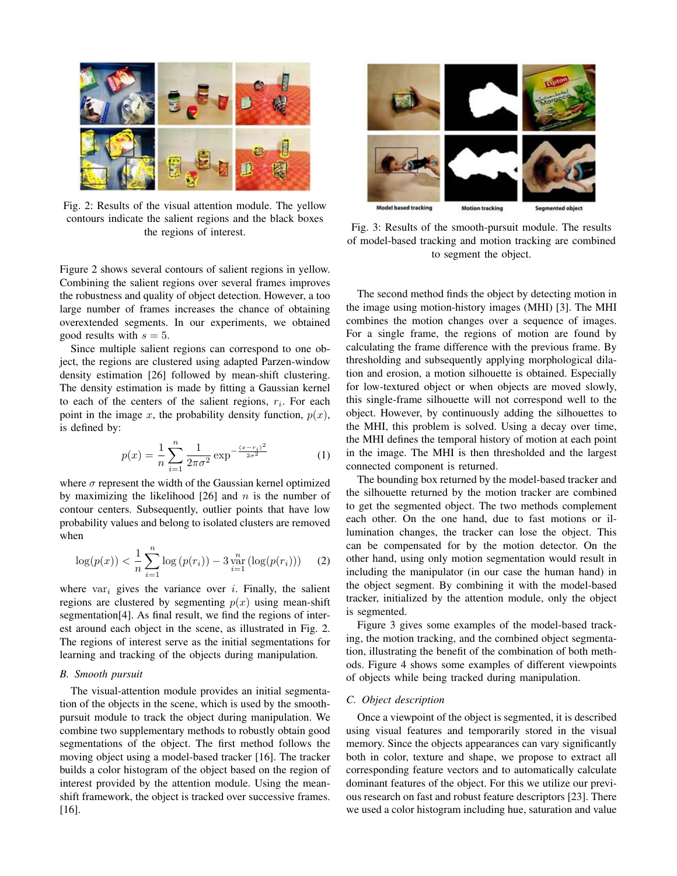

Fig. 2: Results of the visual attention module. The yellow contours indicate the salient regions and the black boxes the regions of interest.

Figure 2 shows several contours of salient regions in yellow. Combining the salient regions over several frames improves the robustness and quality of object detection. However, a too large number of frames increases the chance of obtaining overextended segments. In our experiments, we obtained good results with  $s = 5$ .

Since multiple salient regions can correspond to one object, the regions are clustered using adapted Parzen-window density estimation [26] followed by mean-shift clustering. The density estimation is made by fitting a Gaussian kernel to each of the centers of the salient regions, r*i*. For each point in the image x, the probability density function,  $p(x)$ , is defined by:

$$
p(x) = \frac{1}{n} \sum_{i=1}^{n} \frac{1}{2\pi\sigma^2} \exp^{-\frac{(x - r_i)^2}{2\sigma^2}}
$$
 (1)

where  $\sigma$  represent the width of the Gaussian kernel optimized by maximizing the likelihood  $[26]$  and n is the number of contour centers. Subsequently, outlier points that have low probability values and belong to isolated clusters are removed when

$$
\log(p(x)) < \frac{1}{n} \sum_{i=1}^{n} \log(p(r_i)) - 3 \sum_{i=1}^{n} (\log(p(r_i))) \tag{2}
$$

where  $var_i$  gives the variance over  $i$ . Finally, the salient regions are clustered by segmenting  $p(x)$  using mean-shift segmentation[4]. As final result, we find the regions of interest around each object in the scene, as illustrated in Fig. 2. The regions of interest serve as the initial segmentations for learning and tracking of the objects during manipulation.

## *B. Smooth pursuit*

The visual-attention module provides an initial segmentation of the objects in the scene, which is used by the smoothpursuit module to track the object during manipulation. We combine two supplementary methods to robustly obtain good segmentations of the object. The first method follows the moving object using a model-based tracker [16]. The tracker builds a color histogram of the object based on the region of interest provided by the attention module. Using the meanshift framework, the object is tracked over successive frames. [16].



Fig. 3: Results of the smooth-pursuit module. The results of model-based tracking and motion tracking are combined to segment the object.

The second method finds the object by detecting motion in the image using motion-history images (MHI) [3]. The MHI combines the motion changes over a sequence of images. For a single frame, the regions of motion are found by calculating the frame difference with the previous frame. By thresholding and subsequently applying morphological dilation and erosion, a motion silhouette is obtained. Especially for low-textured object or when objects are moved slowly, this single-frame silhouette will not correspond well to the object. However, by continuously adding the silhouettes to the MHI, this problem is solved. Using a decay over time, the MHI defines the temporal history of motion at each point in the image. The MHI is then thresholded and the largest connected component is returned.

The bounding box returned by the model-based tracker and the silhouette returned by the motion tracker are combined to get the segmented object. The two methods complement each other. On the one hand, due to fast motions or illumination changes, the tracker can lose the object. This can be compensated for by the motion detector. On the other hand, using only motion segmentation would result in including the manipulator (in our case the human hand) in the object segment. By combining it with the model-based tracker, initialized by the attention module, only the object is segmented.

Figure 3 gives some examples of the model-based tracking, the motion tracking, and the combined object segmentation, illustrating the benefit of the combination of both methods. Figure 4 shows some examples of different viewpoints of objects while being tracked during manipulation.

#### *C. Object description*

Once a viewpoint of the object is segmented, it is described using visual features and temporarily stored in the visual memory. Since the objects appearances can vary significantly both in color, texture and shape, we propose to extract all corresponding feature vectors and to automatically calculate dominant features of the object. For this we utilize our previous research on fast and robust feature descriptors [23]. There we used a color histogram including hue, saturation and value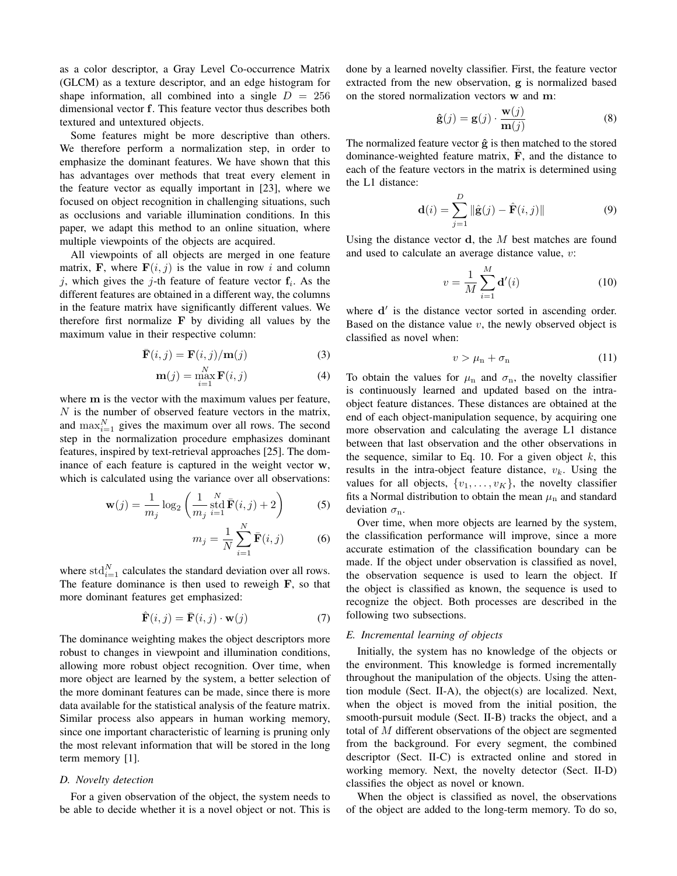as a color descriptor, a Gray Level Co-occurrence Matrix (GLCM) as a texture descriptor, and an edge histogram for shape information, all combined into a single  $D = 256$ dimensional vector f. This feature vector thus describes both textured and untextured objects.

Some features might be more descriptive than others. We therefore perform a normalization step, in order to emphasize the dominant features. We have shown that this has advantages over methods that treat every element in the feature vector as equally important in [23], where we focused on object recognition in challenging situations, such as occlusions and variable illumination conditions. In this paper, we adapt this method to an online situation, where multiple viewpoints of the objects are acquired.

All viewpoints of all objects are merged in one feature matrix, **F**, where  $\mathbf{F}(i, j)$  is the value in row i and column j, which gives the j-th feature of feature vector  $f_i$ . As the different features are obtained in a different way, the columns in the feature matrix have significantly different values. We therefore first normalize F by dividing all values by the maximum value in their respective column:

$$
\bar{\mathbf{F}}(i,j) = \mathbf{F}(i,j)/\mathbf{m}(j)
$$
 (3)

$$
\mathbf{m}(j) = \max_{i=1}^{N} \mathbf{F}(i, j)
$$
 (4)

where m is the vector with the maximum values per feature,  $N$  is the number of observed feature vectors in the matrix, and  $\max_{i=1}^{N}$  gives the maximum over all rows. The second step in the normalization procedure emphasizes dominant features, inspired by text-retrieval approaches [25]. The dominance of each feature is captured in the weight vector w, which is calculated using the variance over all observations:

$$
\mathbf{w}(j) = \frac{1}{m_j} \log_2 \left( \frac{1}{m_j} \operatorname*{std}_{i=1}^{N} \bar{\mathbf{F}}(i, j) + 2 \right)
$$
(5)

$$
m_j = \frac{1}{N} \sum_{i=1}^{N} \bar{\mathbf{F}}(i, j) \tag{6}
$$

where  $\text{std}_{i=1}^N$  calculates the standard deviation over all rows. The feature dominance is then used to reweigh  $F$ , so that more dominant features get emphasized:

$$
\hat{\mathbf{F}}(i,j) = \bar{\mathbf{F}}(i,j) \cdot \mathbf{w}(j)
$$
 (7)

The dominance weighting makes the object descriptors more robust to changes in viewpoint and illumination conditions, allowing more robust object recognition. Over time, when more object are learned by the system, a better selection of the more dominant features can be made, since there is more data available for the statistical analysis of the feature matrix. Similar process also appears in human working memory, since one important characteristic of learning is pruning only the most relevant information that will be stored in the long term memory [1].

### *D. Novelty detection*

For a given observation of the object, the system needs to be able to decide whether it is a novel object or not. This is done by a learned novelty classifier. First, the feature vector extracted from the new observation, g is normalized based on the stored normalization vectors w and m:

$$
\hat{\mathbf{g}}(j) = \mathbf{g}(j) \cdot \frac{\mathbf{w}(j)}{\mathbf{m}(j)}
$$
(8)

The normalized feature vector  $\hat{g}$  is then matched to the stored dominance-weighted feature matrix,  $\hat{F}$ , and the distance to each of the feature vectors in the matrix is determined using the L1 distance:

$$
\mathbf{d}(i) = \sum_{j=1}^{D} ||\hat{\mathbf{g}}(j) - \hat{\mathbf{F}}(i,j)||
$$
 (9)

Using the distance vector  $\bf d$ , the  $\bf M$  best matches are found and used to calculate an average distance value, v:

$$
v = \frac{1}{M} \sum_{i=1}^{M} \mathbf{d}'(i)
$$
 (10)

where  $d'$  is the distance vector sorted in ascending order. Based on the distance value  $v$ , the newly observed object is classified as novel when:

$$
v > \mu_{\rm n} + \sigma_{\rm n} \tag{11}
$$

To obtain the values for  $\mu_n$  and  $\sigma_n$ , the novelty classifier is continuously learned and updated based on the intraobject feature distances. These distances are obtained at the end of each object-manipulation sequence, by acquiring one more observation and calculating the average L1 distance between that last observation and the other observations in the sequence, similar to Eq. 10. For a given object  $k$ , this results in the intra-object feature distance,  $v_k$ . Using the values for all objects,  $\{v_1, \ldots, v_K\}$ , the novelty classifier fits a Normal distribution to obtain the mean  $\mu_n$  and standard deviation  $\sigma_{\rm n}$ .

Over time, when more objects are learned by the system, the classification performance will improve, since a more accurate estimation of the classification boundary can be made. If the object under observation is classified as novel, the observation sequence is used to learn the object. If the object is classified as known, the sequence is used to recognize the object. Both processes are described in the following two subsections.

#### *E. Incremental learning of objects*

Initially, the system has no knowledge of the objects or the environment. This knowledge is formed incrementally throughout the manipulation of the objects. Using the attention module (Sect. II-A), the object(s) are localized. Next, when the object is moved from the initial position, the smooth-pursuit module (Sect. II-B) tracks the object, and a total of M different observations of the object are segmented from the background. For every segment, the combined descriptor (Sect. II-C) is extracted online and stored in working memory. Next, the novelty detector (Sect. II-D) classifies the object as novel or known.

When the object is classified as novel, the observations of the object are added to the long-term memory. To do so,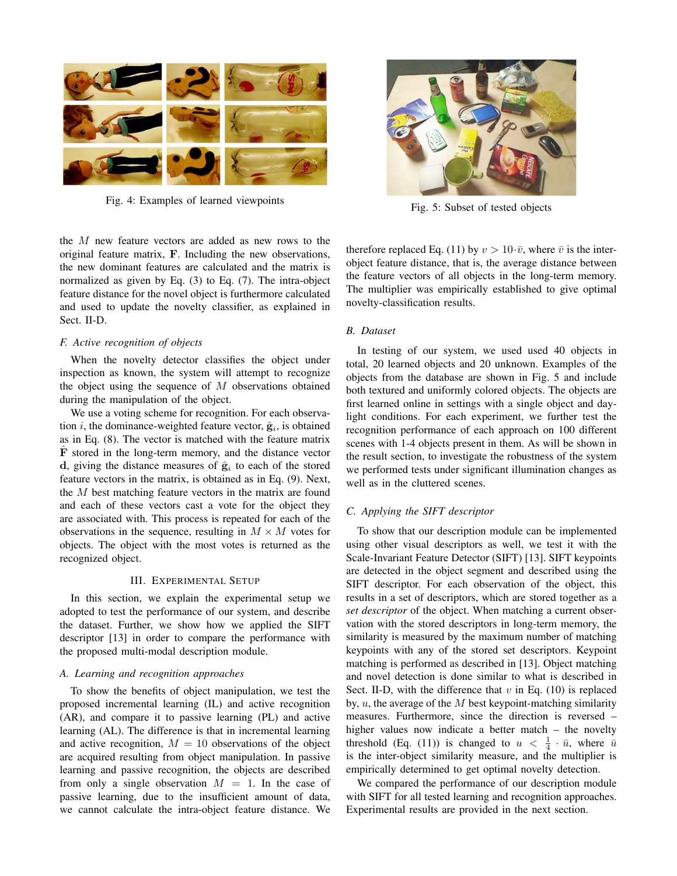

Fig. 4: Examples of learned viewpoints

the M new feature vectors are added as new rows to the original feature matrix, F. Including the new observations, the new dominant features are calculated and the matrix is normalized as given by Eq. (3) to Eq. (7). The intra-object feature distance for the novel object is furthermore calculated and used to update the novelty classifier, as explained in Sect. II-D.

## *F. Active recognition of objects*

When the novelty detector classifies the object under inspection as known, the system will attempt to recognize the object using the sequence of  $M$  observations obtained during the manipulation of the object.

We use a voting scheme for recognition. For each observation *i*, the dominance-weighted feature vector,  $\hat{\mathbf{g}}_i$ , is obtained as in Eq. (8). The vector is matched with the feature matrix  $\bf{F}$  stored in the long-term memory, and the distance vector d, giving the distance measures of  $\hat{g}_i$  to each of the stored feature vectors in the matrix, is obtained as in Eq. (9). Next, the M best matching feature vectors in the matrix are found and each of these vectors cast a vote for the object they are associated with. This process is repeated for each of the observations in the sequence, resulting in  $M \times M$  votes for objects. The object with the most votes is returned as the recognized object.

## III. EXPERIMENTAL SETUP

In this section, we explain the experimental setup we adopted to test the performance of our system, and describe the dataset. Further, we show how we applied the SIFT descriptor [13] in order to compare the performance with the proposed multi-modal description module.

## *A. Learning and recognition approaches*

To show the benefits of object manipulation, we test the proposed incremental learning (IL) and active recognition (AR), and compare it to passive learning (PL) and active learning (AL). The difference is that in incremental learning and active recognition,  $M = 10$  observations of the object are acquired resulting from object manipulation. In passive learning and passive recognition, the objects are described from only a single observation  $M = 1$ . In the case of passive learning, due to the insufficient amount of data, we cannot calculate the intra-object feature distance. We



Fig. 5: Subset of tested objects

therefore replaced Eq. (11) by  $v > 10 \cdot \bar{v}$ , where  $\bar{v}$  is the interobject feature distance, that is, the average distance between the feature vectors of all objects in the long-term memory. The multiplier was empirically established to give optimal novelty-classification results.

## *B. Dataset*

In testing of our system, we used used 40 objects in total, 20 learned objects and 20 unknown. Examples of the objects from the database are shown in Fig. 5 and include both textured and uniformly colored objects. The objects are first learned online in settings with a single object and daylight conditions. For each experiment, we further test the recognition performance of each approach on 100 different scenes with 1-4 objects present in them. As will be shown in the result section, to investigate the robustness of the system we performed tests under significant illumination changes as well as in the cluttered scenes.

#### *C. Applying the SIFT descriptor*

To show that our description module can be implemented using other visual descriptors as well, we test it with the Scale-Invariant Feature Detector (SIFT) [13]. SIFT keypoints are detected in the object segment and described using the SIFT descriptor. For each observation of the object, this results in a set of descriptors, which are stored together as a *set descriptor* of the object. When matching a current observation with the stored descriptors in long-term memory, the similarity is measured by the maximum number of matching keypoints with any of the stored set descriptors. Keypoint matching is performed as described in [13]. Object matching and novel detection is done similar to what is described in Sect. II-D, with the difference that  $v$  in Eq. (10) is replaced by,  $u$ , the average of the M best keypoint-matching similarity measures. Furthermore, since the direction is reversed – higher values now indicate a better match – the novelty threshold (Eq. (11)) is changed to  $u < \frac{1}{4} \cdot \bar{u}$ , where  $\bar{u}$ is the inter-object similarity measure, and the multiplier is empirically determined to get optimal novelty detection.

We compared the performance of our description module with SIFT for all tested learning and recognition approaches. Experimental results are provided in the next section.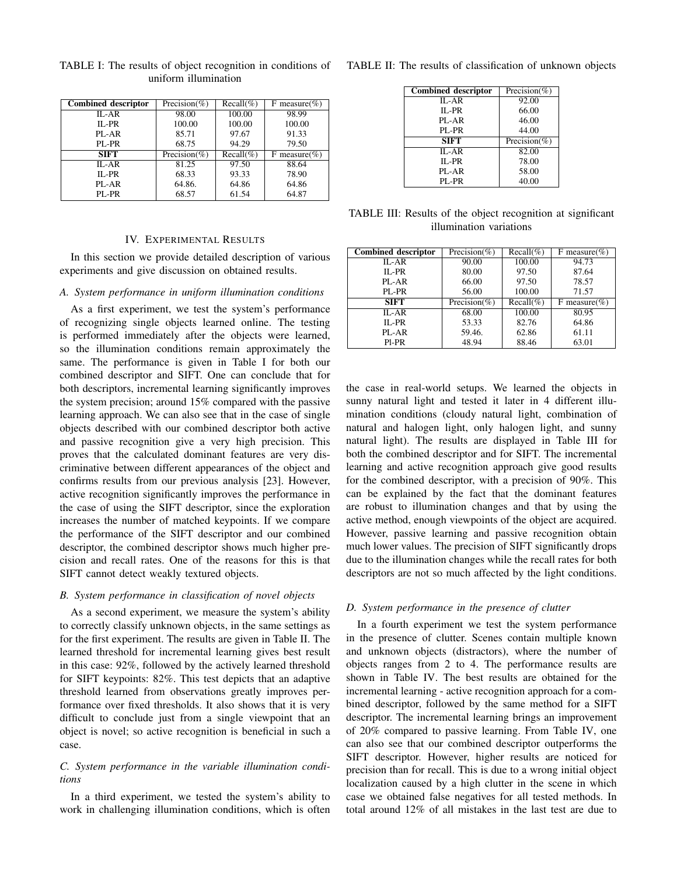| <b>Combined descriptor</b> | $Precision(\%)$ | $Recall(\%)$ | F measure(%) |
|----------------------------|-----------------|--------------|--------------|
| $II - AR$                  | 98.00           | 100.00       | 98.99        |
| $II - PR$                  | 100.00          | 100.00       | 100.00       |
| $PI - AR$                  | 85.71           | 97.67        | 91.33        |
| PL-PR                      | 68.75           | 94.29        | 79.50        |
| <b>SIFT</b>                | Precision(%)    | $Recall(\%)$ | F measure(%) |
| $II - AR$                  | 81.25           | 97.50        | 88.64        |
| $II - PR$                  | 68.33           | 93.33        | 78.90        |
| $PI - AR$                  | 64.86.          | 64.86        | 64.86        |
| PL-PR                      | 68.57           | 61.54        | 64.87        |

TABLE I: The results of object recognition in conditions of uniform illumination

#### IV. EXPERIMENTAL RESULTS

In this section we provide detailed description of various experiments and give discussion on obtained results.

#### *A. System performance in uniform illumination conditions*

As a first experiment, we test the system's performance of recognizing single objects learned online. The testing is performed immediately after the objects were learned, so the illumination conditions remain approximately the same. The performance is given in Table I for both our combined descriptor and SIFT. One can conclude that for both descriptors, incremental learning significantly improves the system precision; around 15% compared with the passive learning approach. We can also see that in the case of single objects described with our combined descriptor both active and passive recognition give a very high precision. This proves that the calculated dominant features are very discriminative between different appearances of the object and confirms results from our previous analysis [23]. However, active recognition significantly improves the performance in the case of using the SIFT descriptor, since the exploration increases the number of matched keypoints. If we compare the performance of the SIFT descriptor and our combined descriptor, the combined descriptor shows much higher precision and recall rates. One of the reasons for this is that SIFT cannot detect weakly textured objects.

#### *B. System performance in classification of novel objects*

As a second experiment, we measure the system's ability to correctly classify unknown objects, in the same settings as for the first experiment. The results are given in Table II. The learned threshold for incremental learning gives best result in this case: 92%, followed by the actively learned threshold for SIFT keypoints: 82%. This test depicts that an adaptive threshold learned from observations greatly improves performance over fixed thresholds. It also shows that it is very difficult to conclude just from a single viewpoint that an object is novel; so active recognition is beneficial in such a case.

# *C. System performance in the variable illumination conditions*

In a third experiment, we tested the system's ability to work in challenging illumination conditions, which is often

TABLE II: The results of classification of unknown objects

| <b>Combined descriptor</b> | Precision(%) |
|----------------------------|--------------|
| $II - AR$                  | 92.00        |
| $II - PR$                  | 66.00        |
| $PI - AR$                  | 46.00        |
| PL-PR                      | 44.00        |
| <b>SIFT</b>                | Precision(%) |
| $II - AR$                  | 82.00        |
| $II - PR$                  | 78.00        |
| $PI - AR$                  | 58.00        |
| PL-PR                      | 40.00        |

TABLE III: Results of the object recognition at significant illumination variations

| <b>Combined descriptor</b> | Precision(%) | $Recall(\%)$ | F measure(%) |
|----------------------------|--------------|--------------|--------------|
| $IL-AR$                    | 90.00        | 100.00       | 94.73        |
| $II - PR$                  | 80.00        | 97.50        | 87.64        |
| $PI - AR$                  | 66.00        | 97.50        | 78.57        |
| PL-PR                      | 56.00        | 100.00       | 71.57        |
| <b>SIFT</b>                | Precision(%) | $Recall(\%)$ | F measure(%) |
| $II - AR$                  | 68.00        | 100.00       | 80.95        |
| $II - PR$                  | 53.33        | 82.76        | 64.86        |
| PL-AR                      | 59.46.       | 62.86        | 61.11        |
| PI-PR                      | 48.94        | 88.46        | 63.01        |

the case in real-world setups. We learned the objects in sunny natural light and tested it later in 4 different illumination conditions (cloudy natural light, combination of natural and halogen light, only halogen light, and sunny natural light). The results are displayed in Table III for both the combined descriptor and for SIFT. The incremental learning and active recognition approach give good results for the combined descriptor, with a precision of 90%. This can be explained by the fact that the dominant features are robust to illumination changes and that by using the active method, enough viewpoints of the object are acquired. However, passive learning and passive recognition obtain much lower values. The precision of SIFT significantly drops due to the illumination changes while the recall rates for both descriptors are not so much affected by the light conditions.

## *D. System performance in the presence of clutter*

In a fourth experiment we test the system performance in the presence of clutter. Scenes contain multiple known and unknown objects (distractors), where the number of objects ranges from 2 to 4. The performance results are shown in Table IV. The best results are obtained for the incremental learning - active recognition approach for a combined descriptor, followed by the same method for a SIFT descriptor. The incremental learning brings an improvement of 20% compared to passive learning. From Table IV, one can also see that our combined descriptor outperforms the SIFT descriptor. However, higher results are noticed for precision than for recall. This is due to a wrong initial object localization caused by a high clutter in the scene in which case we obtained false negatives for all tested methods. In total around 12% of all mistakes in the last test are due to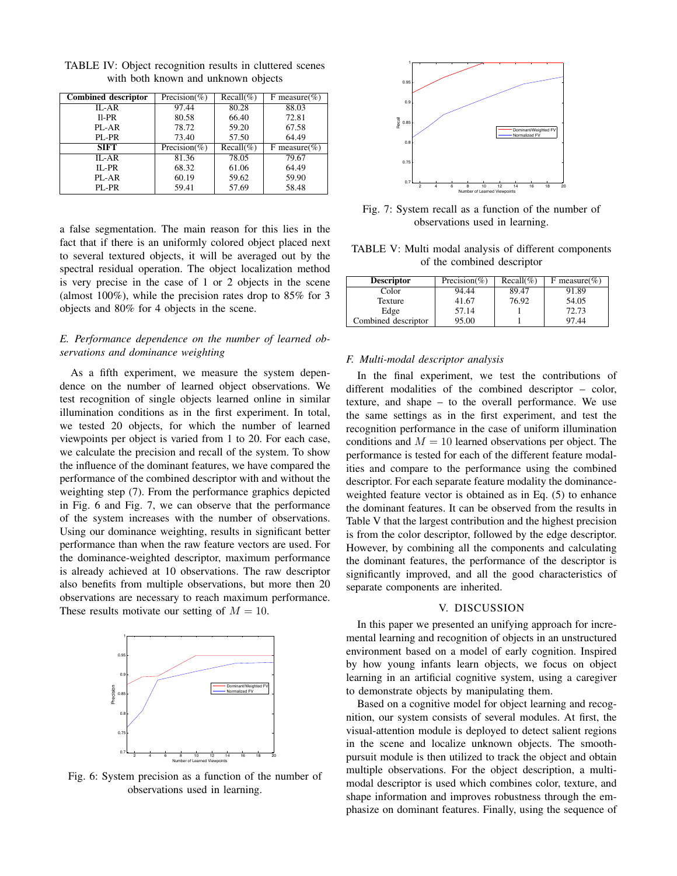| <b>Combined descriptor</b> | Precision(%)                      | $Recall(\%)$ | F measure(%) |
|----------------------------|-----------------------------------|--------------|--------------|
| IL-AR                      | 97.44                             | 80.28        | 88.03        |
| $II-PR$                    | 80.58                             | 66.40        | 72.81        |
| $PI - AR$                  | 78.72                             | 59.20        | 67.58        |
| PL-PR                      | 73.40                             | 57.50        | 64.49        |
| <b>SIFT</b>                | $\overline{\text{Precision}}(\%)$ | $Recall(\%)$ | F measure(%) |
| $II - AR$                  | 81.36                             | 78.05        | 79.67        |
| $II - PR$                  | 68.32                             | 61.06        | 64.49        |
| $PI - AR$                  | 60.19                             | 59.62        | 59.90        |
| PL-PR                      | 59.41                             | 57.69        | 58.48        |

TABLE IV: Object recognition results in cluttered scenes with both known and unknown objects

a false segmentation. The main reason for this lies in the fact that if there is an uniformly colored object placed next to several textured objects, it will be averaged out by the spectral residual operation. The object localization method is very precise in the case of 1 or 2 objects in the scene (almost 100%), while the precision rates drop to 85% for 3 objects and 80% for 4 objects in the scene.

# *E. Performance dependence on the number of learned observations and dominance weighting*

As a fifth experiment, we measure the system dependence on the number of learned object observations. We test recognition of single objects learned online in similar illumination conditions as in the first experiment. In total, we tested 20 objects, for which the number of learned viewpoints per object is varied from 1 to 20. For each case, we calculate the precision and recall of the system. To show the influence of the dominant features, we have compared the performance of the combined descriptor with and without the weighting step (7). From the performance graphics depicted in Fig. 6 and Fig. 7, we can observe that the performance of the system increases with the number of observations. Using our dominance weighting, results in significant better performance than when the raw feature vectors are used. For the dominance-weighted descriptor, maximum performance is already achieved at 10 observations. The raw descriptor also benefits from multiple observations, but more then 20 observations are necessary to reach maximum performance. These results motivate our setting of  $M = 10$ .



Fig. 6: System precision as a function of the number of observations used in learning.



Fig. 7: System recall as a function of the number of observations used in learning.

TABLE V: Multi modal analysis of different components of the combined descriptor

| <b>Descriptor</b>   | Precision(%) | $Recall(\%)$ | F measure(%) |
|---------------------|--------------|--------------|--------------|
| Color               | 94.44        | 89.47        | 91.89        |
| Texture             | 41.67        | 76.92        | 54.05        |
| Edge                | 57.14        |              | 72.73        |
| Combined descriptor | 95.00        |              | 97.44        |

#### *F. Multi-modal descriptor analysis*

In the final experiment, we test the contributions of different modalities of the combined descriptor – color, texture, and shape – to the overall performance. We use the same settings as in the first experiment, and test the recognition performance in the case of uniform illumination conditions and  $M = 10$  learned observations per object. The performance is tested for each of the different feature modalities and compare to the performance using the combined descriptor. For each separate feature modality the dominanceweighted feature vector is obtained as in Eq. (5) to enhance the dominant features. It can be observed from the results in Table V that the largest contribution and the highest precision is from the color descriptor, followed by the edge descriptor. However, by combining all the components and calculating the dominant features, the performance of the descriptor is significantly improved, and all the good characteristics of separate components are inherited.

# V. DISCUSSION

In this paper we presented an unifying approach for incremental learning and recognition of objects in an unstructured environment based on a model of early cognition. Inspired by how young infants learn objects, we focus on object learning in an artificial cognitive system, using a caregiver to demonstrate objects by manipulating them.

Based on a cognitive model for object learning and recognition, our system consists of several modules. At first, the visual-attention module is deployed to detect salient regions in the scene and localize unknown objects. The smoothpursuit module is then utilized to track the object and obtain multiple observations. For the object description, a multimodal descriptor is used which combines color, texture, and shape information and improves robustness through the emphasize on dominant features. Finally, using the sequence of